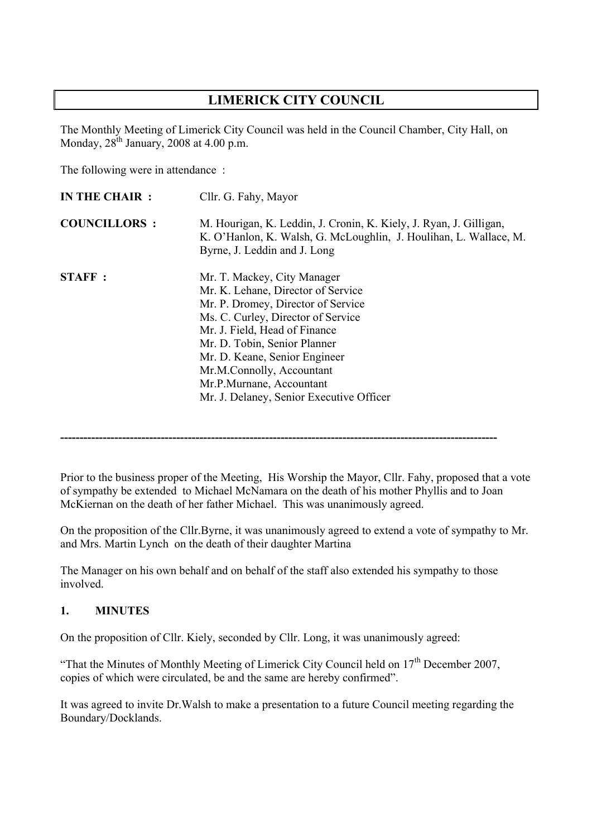# **LIMERICK CITY COUNCIL**

The Monthly Meeting of Limerick City Council was held in the Council Chamber, City Hall, on Monday,  $28^{th}$  January, 2008 at 4.00 p.m.

The following were in attendance :

| <b>IN THE CHAIR:</b> | Cllr. G. Fahy, Mayor                                                                                                                                                                                                                                                                                                                                 |  |  |  |
|----------------------|------------------------------------------------------------------------------------------------------------------------------------------------------------------------------------------------------------------------------------------------------------------------------------------------------------------------------------------------------|--|--|--|
| <b>COUNCILLORS:</b>  | M. Hourigan, K. Leddin, J. Cronin, K. Kiely, J. Ryan, J. Gilligan,<br>K. O'Hanlon, K. Walsh, G. McLoughlin, J. Houlihan, L. Wallace, M.<br>Byrne, J. Leddin and J. Long                                                                                                                                                                              |  |  |  |
| <b>STAFF:</b>        | Mr. T. Mackey, City Manager<br>Mr. K. Lehane, Director of Service<br>Mr. P. Dromey, Director of Service<br>Ms. C. Curley, Director of Service<br>Mr. J. Field, Head of Finance<br>Mr. D. Tobin, Senior Planner<br>Mr. D. Keane, Senior Engineer<br>Mr.M.Connolly, Accountant<br>Mr.P.Murnane, Accountant<br>Mr. J. Delaney, Senior Executive Officer |  |  |  |

Prior to the business proper of the Meeting, His Worship the Mayor, Cllr. Fahy, proposed that a vote of sympathy be extended to Michael McNamara on the death of his mother Phyllis and to Joan McKiernan on the death of her father Michael. This was unanimously agreed.

**-----------------------------------------------------------------------------------------------------------------**

On the proposition of the Cllr.Byrne, it was unanimously agreed to extend a vote of sympathy to Mr. and Mrs. Martin Lynch on the death of their daughter Martina

The Manager on his own behalf and on behalf of the staff also extended his sympathy to those involved.

### **1. MINUTES**

On the proposition of Cllr. Kiely, seconded by Cllr. Long, it was unanimously agreed:

"That the Minutes of Monthly Meeting of Limerick City Council held on  $17<sup>th</sup>$  December 2007, copies of which were circulated, be and the same are hereby confirmed".

It was agreed to invite Dr.Walsh to make a presentation to a future Council meeting regarding the Boundary/Docklands.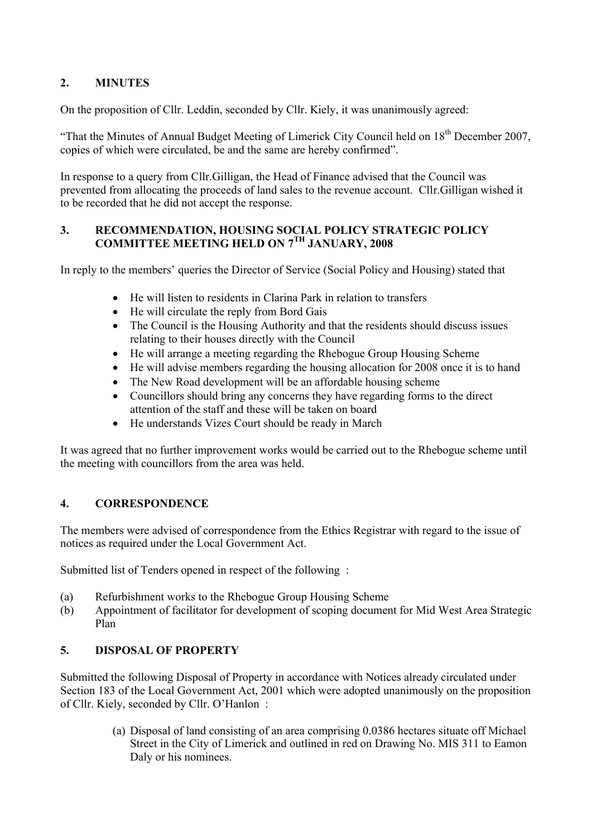## **2. MINUTES**

On the proposition of Cllr. Leddin, seconded by Cllr. Kiely, it was unanimously agreed:

"That the Minutes of Annual Budget Meeting of Limerick City Council held on  $18<sup>th</sup>$  December 2007. copies of which were circulated, be and the same are hereby confirmed".

In response to a query from Cllr.Gilligan, the Head of Finance advised that the Council was prevented from allocating the proceeds of land sales to the revenue account. Cllr.Gilligan wished it to be recorded that he did not accept the response.

### **3. RECOMMENDATION, HOUSING SOCIAL POLICY STRATEGIC POLICY COMMITTEE MEETING HELD ON 7TH JANUARY, 2008**

In reply to the members' queries the Director of Service (Social Policy and Housing) stated that

- He will listen to residents in Clarina Park in relation to transfers
- He will circulate the reply from Bord Gais
- The Council is the Housing Authority and that the residents should discuss issues relating to their houses directly with the Council
- He will arrange a meeting regarding the Rhebogue Group Housing Scheme
- He will advise members regarding the housing allocation for 2008 once it is to hand
- The New Road development will be an affordable housing scheme
- Councillors should bring any concerns they have regarding forms to the direct attention of the staff and these will be taken on board
- He understands Vizes Court should be ready in March

It was agreed that no further improvement works would be carried out to the Rhebogue scheme until the meeting with councillors from the area was held.

## **4. CORRESPONDENCE**

The members were advised of correspondence from the Ethics Registrar with regard to the issue of notices as required under the Local Government Act.

Submitted list of Tenders opened in respect of the following :

- (a) Refurbishment works to the Rhebogue Group Housing Scheme
- (b) Appointment of facilitator for development of scoping document for Mid West Area Strategic Plan

## **5. DISPOSAL OF PROPERTY**

Submitted the following Disposal of Property in accordance with Notices already circulated under Section 183 of the Local Government Act, 2001 which were adopted unanimously on the proposition of Cllr. Kiely, seconded by Cllr. O'Hanlon :

> (a) Disposal of land consisting of an area comprising 0.0386 hectares situate off Michael Street in the City of Limerick and outlined in red on Drawing No. MIS 311 to Eamon Daly or his nominees.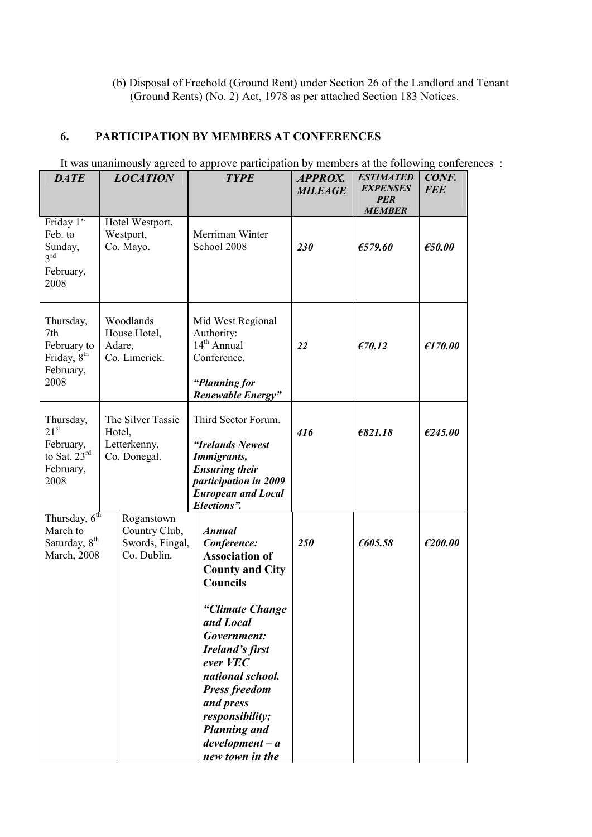(b) Disposal of Freehold (Ground Rent) under Section 26 of the Landlord and Tenant (Ground Rents) (No. 2) Act, 1978 as per attached Section 183 Notices.

## **6. PARTICIPATION BY MEMBERS AT CONFERENCES**

| <b>DATE</b>                                                                       | <b>LOCATION</b>                                               | <b>TYPE</b>                                                                                                                                                                                                                                                                                                                        | <b>APPROX.</b><br><b>MILEAGE</b> | <b>ESTIMATED</b><br><b>EXPENSES</b><br><b>PER</b><br><b>MEMBER</b> | CONF.<br><b>FEE</b> |
|-----------------------------------------------------------------------------------|---------------------------------------------------------------|------------------------------------------------------------------------------------------------------------------------------------------------------------------------------------------------------------------------------------------------------------------------------------------------------------------------------------|----------------------------------|--------------------------------------------------------------------|---------------------|
| Friday 1st<br>Feb. to<br>Sunday,<br>3 <sup>rd</sup><br>February,<br>2008          | Hotel Westport,<br>Westport,<br>Co. Mayo.                     | Merriman Winter<br>School 2008                                                                                                                                                                                                                                                                                                     | 230                              | £579.60                                                            | E50.00              |
| Thursday,<br>7th<br>February to<br>Friday, 8 <sup>th</sup><br>February,<br>2008   | Woodlands<br>House Hotel,<br>Adare,<br>Co. Limerick.          | Mid West Regional<br>Authority:<br>14 <sup>th</sup> Annual<br>Conference.<br>"Planning for<br>Renewable Energy"                                                                                                                                                                                                                    | 22                               | E70.12                                                             | E170.00             |
| Thursday,<br>21 <sup>st</sup><br>February,<br>to Sat. $23rd$<br>February,<br>2008 | The Silver Tassie<br>Hotel,<br>Letterkenny,<br>Co. Donegal.   | Third Sector Forum.<br>"Irelands Newest<br><b>Immigrants,</b><br><b>Ensuring their</b><br>participation in 2009<br><b>European and Local</b><br>Elections".                                                                                                                                                                        | 416                              | E821.18                                                            | E245.00             |
| Thursday, 6 <sup>th</sup><br>March to<br>Saturday, 8 <sup>th</sup><br>March, 2008 | Roganstown<br>Country Club,<br>Swords, Fingal,<br>Co. Dublin. | <b>Annual</b><br>Conference:<br><b>Association of</b><br><b>County and City</b><br><b>Councils</b><br>"Climate Change<br>and Local<br>Government:<br><b>Ireland's first</b><br>ever VEC<br>national school.<br><b>Press freedom</b><br>and press<br>responsibility;<br><b>Planning and</b><br>$development - a$<br>new town in the | 250                              | €605.58                                                            | E200.00             |

It was unanimously agreed to approve participation by members at the following conferences :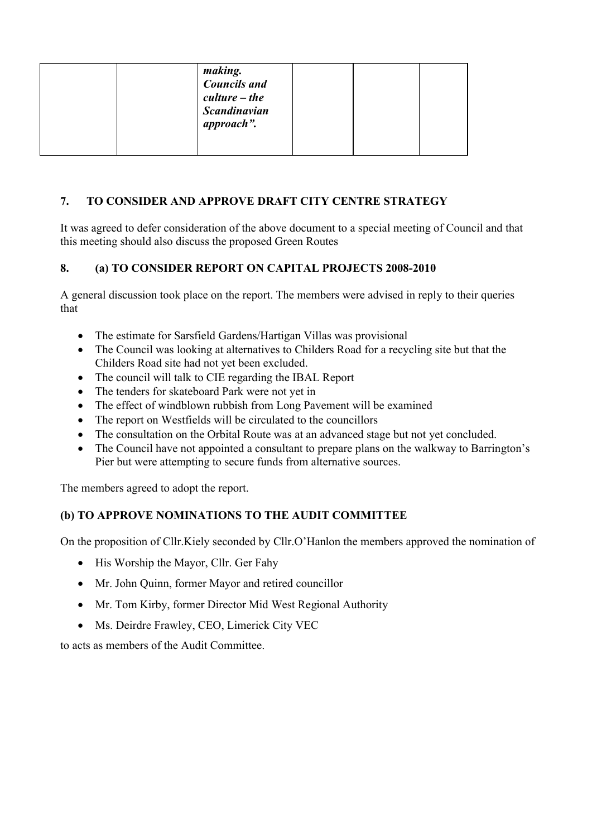## **7. TO CONSIDER AND APPROVE DRAFT CITY CENTRE STRATEGY**

It was agreed to defer consideration of the above document to a special meeting of Council and that this meeting should also discuss the proposed Green Routes

## **8. (a) TO CONSIDER REPORT ON CAPITAL PROJECTS 2008-2010**

A general discussion took place on the report. The members were advised in reply to their queries that

- The estimate for Sarsfield Gardens/Hartigan Villas was provisional
- The Council was looking at alternatives to Childers Road for a recycling site but that the Childers Road site had not yet been excluded.
- The council will talk to CIE regarding the IBAL Report
- The tenders for skateboard Park were not yet in
- The effect of windblown rubbish from Long Pavement will be examined
- The report on Westfields will be circulated to the councillors
- The consultation on the Orbital Route was at an advanced stage but not yet concluded.
- The Council have not appointed a consultant to prepare plans on the walkway to Barrington's Pier but were attempting to secure funds from alternative sources.

The members agreed to adopt the report.

## **(b) TO APPROVE NOMINATIONS TO THE AUDIT COMMITTEE**

On the proposition of Cllr.Kiely seconded by Cllr.O'Hanlon the members approved the nomination of

- His Worship the Mayor, Cllr. Ger Fahy
- Mr. John Quinn, former Mayor and retired councillor
- Mr. Tom Kirby, former Director Mid West Regional Authority
- Ms. Deirdre Frawley, CEO, Limerick City VEC

to acts as members of the Audit Committee.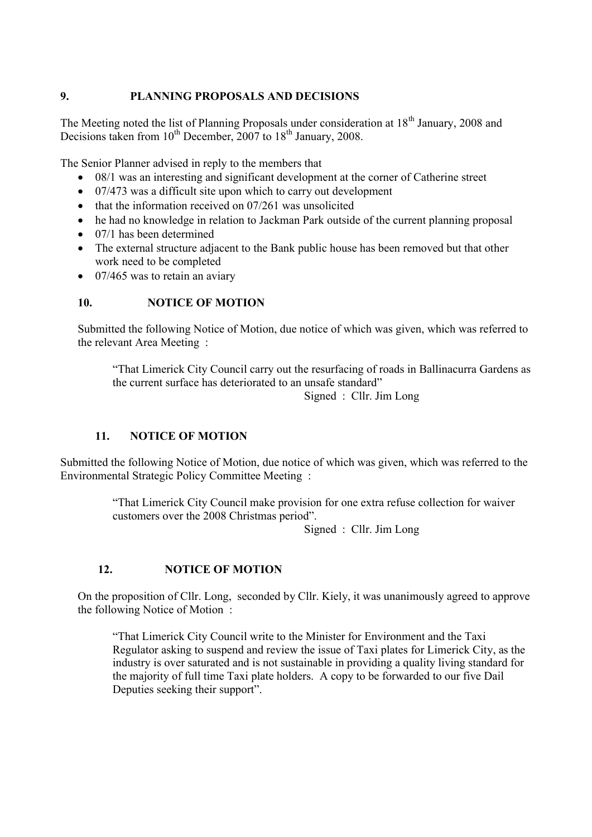### **9. PLANNING PROPOSALS AND DECISIONS**

The Meeting noted the list of Planning Proposals under consideration at  $18<sup>th</sup>$  January, 2008 and Decisions taken from  $10^{th}$  December, 2007 to  $18^{th}$  January, 2008.

The Senior Planner advised in reply to the members that

- 08/1 was an interesting and significant development at the corner of Catherine street
- 07/473 was a difficult site upon which to carry out development
- $\bullet$  that the information received on 07/261 was unsolicited
- he had no knowledge in relation to Jackman Park outside of the current planning proposal
- $\bullet$  07/1 has been determined
- The external structure adjacent to the Bank public house has been removed but that other work need to be completed
- $\bullet$  07/465 was to retain an aviary

#### **10. NOTICE OF MOTION**

Submitted the following Notice of Motion, due notice of which was given, which was referred to the relevant Area Meeting :

"That Limerick City Council carry out the resurfacing of roads in Ballinacurra Gardens as the current surface has deteriorated to an unsafe standard"

Signed : Cllr. Jim Long

#### **11. NOTICE OF MOTION**

Submitted the following Notice of Motion, due notice of which was given, which was referred to the Environmental Strategic Policy Committee Meeting :

> "That Limerick City Council make provision for one extra refuse collection for waiver customers over the 2008 Christmas period".

> > Signed : Cllr. Jim Long

#### **12. NOTICE OF MOTION**

On the proposition of Cllr. Long, seconded by Cllr. Kiely, it was unanimously agreed to approve the following Notice of Motion :

"That Limerick City Council write to the Minister for Environment and the Taxi Regulator asking to suspend and review the issue of Taxi plates for Limerick City, as the industry is over saturated and is not sustainable in providing a quality living standard for the majority of full time Taxi plate holders. A copy to be forwarded to our five Dail Deputies seeking their support".